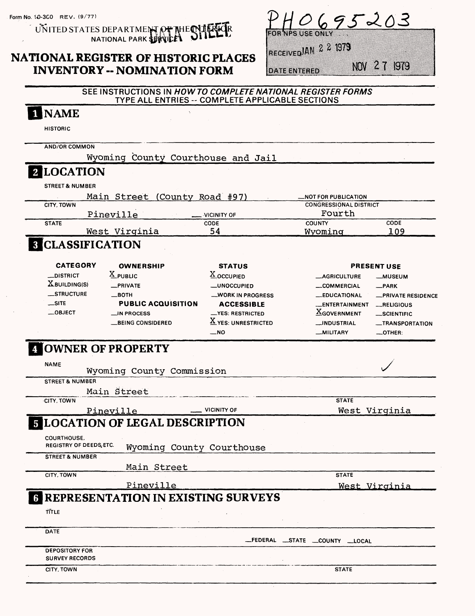$\overline{\mathbf{N}}$ 

UNITED STATES NATIONAL PARK |R

# **NATIONAL REGISTER OF HISTORIC PLACES INVENTORY - NOMINATION FORM**

|  |              |  | PHO695203 |  |
|--|--------------|--|-----------|--|
|  | <b>EONLY</b> |  |           |  |

RECEIVED AN 2 2 1979

**DATE ENTERED** 

NOV 27 1979

### SEE INSTRUCTIONS IN HOW TO COMPLETE NATIONAL REGISTER FORMS TYPE ALL ENTRIES -- COMPLETE APPLICABLE SECTIONS

| <b>INAME</b>                                         |                                             |                                            |                                         |                          |
|------------------------------------------------------|---------------------------------------------|--------------------------------------------|-----------------------------------------|--------------------------|
| <b>HISTORIC</b>                                      |                                             |                                            |                                         |                          |
| <b>AND/OR COMMON</b>                                 |                                             |                                            |                                         |                          |
|                                                      | Wyoming County Courthouse and Jail          |                                            |                                         |                          |
| 2 LOCATION                                           |                                             |                                            |                                         |                          |
| <b>STREET &amp; NUMBER</b>                           |                                             |                                            |                                         |                          |
|                                                      | Main Street (County Road #97)               |                                            | _NOT FOR PUBLICATION                    |                          |
| CITY. TOWN                                           |                                             |                                            | <b>CONGRESSIONAL DISTRICT</b><br>Fourth |                          |
| <b>STATE</b>                                         | Pineville                                   | VICINITY OF<br>CODE                        | <b>COUNTY</b>                           | CODE                     |
|                                                      | West Virginia                               | 54                                         | Wyoming                                 | 109                      |
| <b>8 CLASSIFICATION</b>                              |                                             |                                            |                                         |                          |
| <b>CATEGORY</b>                                      | <b>OWNERSHIP</b>                            | <b>STATUS</b>                              |                                         | <b>PRESENT USE</b>       |
| _DISTRICT                                            | $X_{\text{PUBLC}}$                          | X OCCUPIED                                 | <b>__AGRICULTURE</b>                    | <b>__MUSEUM</b>          |
| XBUILDING(S)                                         | _PRIVATE                                    | _UNOCCUPIED                                | __COMMERCIAL                            | $R$ PARK                 |
| __STRUCTURE                                          | $\equiv$ BOTH                               | <b>__WORK IN PROGRESS</b>                  | <b>__EDUCATIONAL</b>                    | <b>PRIVATE RESIDENCE</b> |
| $\equiv$ SITE                                        | <b>PUBLIC ACQUISITION</b>                   | <b>ACCESSIBLE</b>                          | _ENTERTAINMENT                          | RELIGIOUS                |
| $\_$ OBJECT                                          | $\equiv$ IN PROCESS                         | <b>__YES: RESTRICTED</b>                   | <b>XGOVERNMENT</b>                      | __SCIENTIFIC             |
|                                                      | <b>BEING CONSIDERED</b>                     | $\underline{\mathbf{X}}$ YES: UNRESTRICTED | __INDUSTRIAL                            | _TRANSPORTATION          |
|                                                      |                                             | $\overline{\phantom{1}}$ NO                | _MILITARY                               | _OTHER:                  |
| <b>4 OWNER OF PROPERTY</b>                           |                                             |                                            |                                         |                          |
| <b>NAME</b>                                          | Wyoming County Commission                   |                                            |                                         |                          |
| <b>STREET &amp; NUMBER</b>                           |                                             |                                            |                                         |                          |
|                                                      | Main Street                                 |                                            |                                         |                          |
| <b>CITY, TOWN</b>                                    |                                             |                                            | <b>STATE</b>                            |                          |
|                                                      | <u>Pineville</u>                            | <b>VICINITY OF</b>                         |                                         | West Virginia            |
|                                                      | <b>5 LOCATION OF LEGAL DESCRIPTION</b>      |                                            |                                         |                          |
| <b>COURTHOUSE,</b><br><b>REGISTRY OF DEEDS, ETC.</b> | Wyoming County Courthouse                   |                                            |                                         |                          |
| <b>STREET &amp; NUMBER</b>                           |                                             |                                            |                                         |                          |
|                                                      | Main Street                                 |                                            |                                         |                          |
| CITY, TOWN                                           |                                             |                                            | <b>STATE</b>                            |                          |
|                                                      | Pineville                                   |                                            |                                         | West Virginia            |
|                                                      | <b>6 REPRESENTATION IN EXISTING SURVEYS</b> |                                            |                                         |                          |
| TITLE                                                |                                             |                                            |                                         |                          |
| <b>DATE</b>                                          |                                             |                                            | _FEDERAL _STATE _COUNTY _LOCAL          |                          |
| <b>DEPOSITORY FOR</b><br><b>SURVEY RECORDS</b>       |                                             |                                            |                                         |                          |
| CITY, TOWN                                           |                                             |                                            | <b>STATE</b>                            |                          |
|                                                      |                                             |                                            |                                         |                          |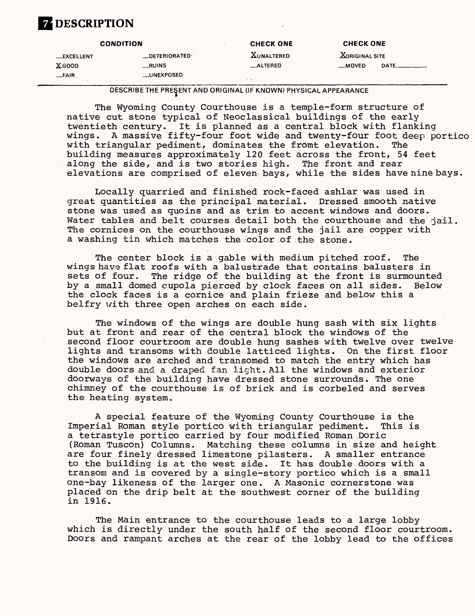# **Z** DESCRIPTION

| <b>CONDITION</b>  |                      | <b>CHECK ONE</b>  | <b>CHECK ONE</b>             |  |
|-------------------|----------------------|-------------------|------------------------------|--|
| <b>_EXCELLENT</b> | <b>LOETERIORATED</b> | <b>XUNALTERED</b> | <b><i>XORIGINAL SITE</i></b> |  |
| <b>X</b> GOOD     | __RUINS              | _ALTERED          | $-MOVED$<br>DATE.            |  |
| $-$ FAIR          | __UNEXPOSED          |                   |                              |  |

### DESCRIBE THE PRESENT AND ORIGINAL (IF KNOWN) PHYSICAL APPEARANCE

The Wyoming County Courthouse is a temple-form structure of native cut stone typical of Neoclassical buildings of the early twentieth century. It is planned as a central block with flanking wings. A massive fifty-four foot wide and twenty-four foot deep portico with triangular pediment, dominates the fromt elevation. The building measures approximately 120 feet across the front, 54 feet along the side, and is two stories high. The front and rear elevations are comprised of eleven bays, while the sides have nine bays.

Locally quarried and finished rock-faced ashlar was used in great quantities as the principal material. Dressed smooth native stone was used as quoins and as trim to accent windows and doors. Water tables and belt courses detail both the courthouse and the jail. The cornices on the courthouse wings and the jail are copper with a washing tin which matches the color of the stone.

The center block is a gable with medium pitched roof. The wings have flat roofs with a balustrade that contains balusters in sets of four. The ridge of the building at the front is surmounted by a small domed cupola pierced by clock faces on all sides. Below the clock faces is a cornice and plain frieze and below this a belfry with three open arches on each side.

The windows of the wings are double hung sash with six lights but at front and rear of the central block the windows of the second floor courtroom are double hung sashes with twelve over twelve lights and transoms with double latticed lights. On the first floor the windows are arched and transomed to match the entry which has double doors and a draped fan light. All the windows and exterior doorways of the building have dressed stone surrounds. The one chimney of the courthouse is of brick and is corbeled and serves the heating system.

A special feature of the Wyoming County Courthouse is the Imperial Roman style portico with triangular pediment. This is a tetrastyle portico carried by four modified Roman Doric (Roman Tuscon) Columns. Matching these columns in size and height are four finely dressed limestone pilasters. A smaller entrance to the building is at the west side. It has double doors with a transom and is covered by a single-story portico which is a small one-bay likeness of the larger one. A Masonic cornerstone was placed on the drip belt at the southwest corner of the building in 1916.

The Main entrance to the courthouse leads to a large lobby which is directly under the south half of the second floor courtroom. Doors and rampant arches at the rear of the lobby lead to the offices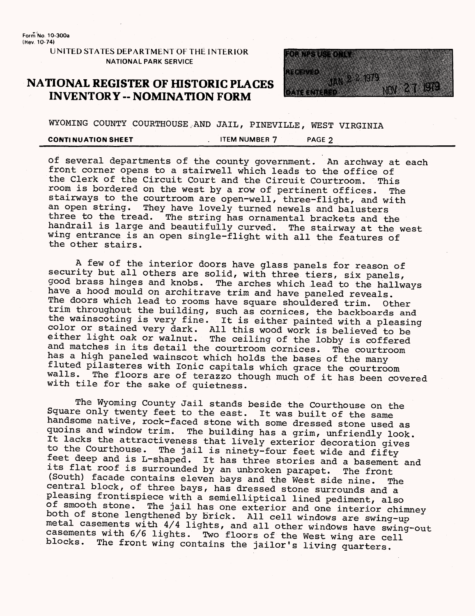**Form No 10-300a (Hev. 10-74)**

> **UNITED STATES DEPARTMENT OF THE INTERIOR NATIONAL PARK SERVICE**

## **NATIONAL REGISTER OF fflSTORIC PLACES INVENTORY - NOMINATION FORM**



WYOMING COUNTY COURTHOUSE.AND JAIL, PINEVILLE, WEST VIRGINIA

**CONTINUATION SHEET** THEM ITEM NUMBER 7 THEM PAGE 2

of several departments of the county government. An archway at each front corner opens to a stairwell which leads to the office of the Clerk of the Circuit Court and the Circuit Courtroom. This room is bordered on the west by a row of pertinent offices. The stairways to the courtroom are open-well, three-flight, and with an open string. They have lovely turned newels and balusters<br>three to the tread. The string has ornamental brackets and t The string has ornamental brackets and the handrail is large and beautifully curved. The stairway at the west wing entrance is an open single-flight with all the features of the other stairs.

A few of the interior doors have glass panels for reason of security but all others are solid, with three tiers, six panels, good brass hinges and knobs. The arches which lead to the hallways have a hood mould on architrave trim and have paneled reveals. The doors which lead to rooms have square shouldered trim. Other trim throughout the building, such as cornices, the backboards and the wainscoting is very fine. It is either painted with a pleasing color or stained very dark. All this wood work is believed to be either light oak or walnut. The ceiling of the lobby is coffered and matches in its detail the courtroom cornices. The courtroom has a high paneled wainscot which holds the bases of the many fluted pilasteres with Ionic capitals which grace the courtroom The floors are of terazzo though much of it has been covered with tile for the sake of quietness.

The Wyoming County Jail stands beside the Courthouse on the Square only twenty feet to the east. It was built of the same handsome native, rock-faced stone with some dressed stone used as quoins and window trim. The building has a grim, unfriendly look. It lacks the attractiveness that lively exterior decoration gives to the Courthouse. The jail is ninety-four feet wide and fifty feet deep and is L-shaped. It has three stories and a basement and its flat roof is surrounded by an unbroken parapet. The front (South) facade contains eleven bays and the West side nine. The central block, of three bays, has dressed stone surrounds and a pleasing frontispiece with a semielliptical lined pediment, also of smooth stone. The jail has one exterior and one interior chimney both of stone lengthened by brick. All cell windows are swing-up metal casements with 4/4 lights, and all other windows have swing-out casements with 6/6 lights. Two floors of the West wing are cell blocks. The front wing contains the jailor's living quarters.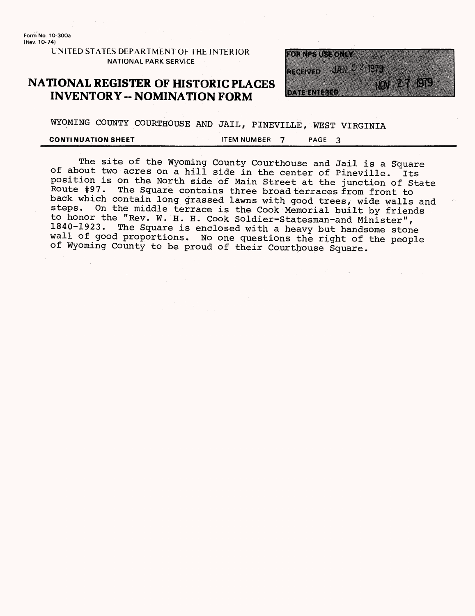**Form No. 1O-300a {Hev. 10-74)**

> **UNITED STATES DEPARTMENT OF THE INTERIOR NATIONAL PARK SERVICE**

## **NATIONAL REGISTER OF HISTORIC PLACES INVENTORY -- NOMINATION FORM**



WYOMING COUNTY COURTHOUSE AND JAIL, PINEVILLE, WEST VIRGINIA

### **CONTINUATION SHEET CONTINUATION SHEET**

The site of the Wyoming County Courthouse and Jail is a Square of about two acres on a hill side in the center of Pineville. Its position is on the North side of Main Street at the junction of State Route #97. The Square contains three broad terraces from front to back which contain long grassed lawns with good trees, wide walls and steps. On the middle terrace is the Cook Memorial built by friends On the middle terrace is the Cook Memorial built by friends to honor the "Rev. W. H. H. Cook Soldier-Statesman-and Minister",<br>1840-1923. The Square is enclosed with a heavy but bandsome stone The Square is enclosed with a heavy but handsome stone wall of good proportions. No one questions the right of the people of Wyoming County to be proud of their Courthouse Square.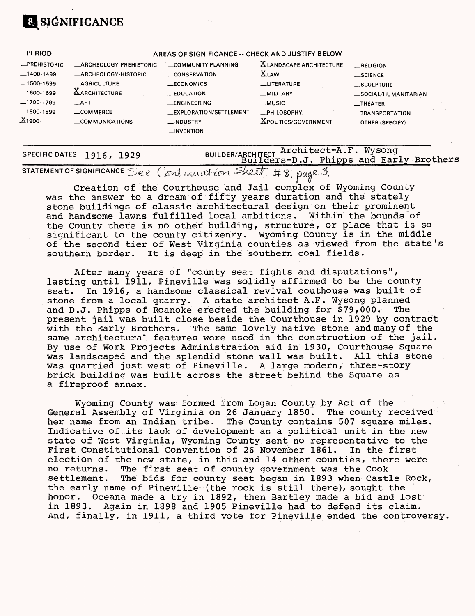# **SIGNIFICANCE**

| <b>PERIOD</b>       |                                | AREAS OF SIGNIFICANCE -- CHECK AND JUSTIFY BELOW |                                |                      |  |
|---------------------|--------------------------------|--------------------------------------------------|--------------------------------|----------------------|--|
| <b>_PREHISTORIC</b> | <b>LARCHEOLOGY-PREHISTORIC</b> | COMMUNITY PLANNING                               | <b>XLANDSCAPE ARCHITECTURE</b> | RELIGION             |  |
| $-1400-1499$        | <b>ARCHEOLOGY-HISTORIC</b>     | __CONSERVATION                                   | <b>XLAW</b>                    | $\equiv$ SCIENCE     |  |
| $-1500 - 1599$      | <b>AGRICULTURE</b>             | <b>LECONOMICS</b>                                | __LITERATURE                   | __SCULPTURE          |  |
| -1600-1699          | <b>AARCHITECTURE</b>           | $\equiv$ EDUCATION                               | _MILITARY                      | _SOCIAL/HUMANITARIAN |  |
| —1700-1799          | $\equiv$ ART                   | __ENGINEERING                                    | __MUSIC                        | $\equiv$ THEATER     |  |
| .1800-1899          | COMMERCE                       | <b>LEXPLORATION/SETTLEMENT</b>                   | _PHILOSOPHY                    | _TRANSPORTATION      |  |
| X1900-              | COMMUNICATIONS                 | $\Box$ NDUSTRY                                   | <b>XPOLITICS/GOVERNMENT</b>    | _OTHER (SPECIFY)     |  |
|                     |                                | $\Box$ INVENTION                                 |                                |                      |  |
|                     |                                |                                                  |                                |                      |  |

### **SPECIFIC DATES 1916, 1929** BUILDER/ARCHITECT Architect-A.F. Wysong BUILDER/ARCHITECT ILLOILLOGE IN . My Dong<br>Builders-D.J. Phipps and Early Brothers

STATEMENT OF SIGNIFICANCE See Continuation Sheet, #8, page 3.

Creation of the Courthouse and Jail complex of Wyoming County was the answer to a dream of fifty years duration and the stately stone buildings of classic architectural design on their prominent and handsome lawns fulfilled local ambitions. Within the bounds of the County there is no other building, structure, or place that is so significant to the county citizenry. Wyoming County is in the middle of the second tier of West Virginia counties as viewed from the state's southern border. It is deep in the southern coal fields.

After many years of "county seat fights and disputations", lasting until 1911, Pineville was solidly affirmed to be the county seat. In 1916, a handsome classical revival couthouse was built of stone from a local quarry. A state architect A.F. Wysong planned and D.J. Phipps of Roanoke erected the building for \$79,000. The present jail was built close beside the Courthouse in 1929 by contract with the Early Brothers. The same lovely native stone and many of the same architectural features were used in the construction of the jail. By use of Work Projects Administration aid in 1930, Courthouse Square was landscaped and the splendid stone wall was built. All this stone was quarried just west of Pineville. A large modern, three-story brick building was built across the street behind the Square as a fireproof annex.

Wyoming County was formed from Logan County by Act of the General Assembly of Virginia on 26 January 1850. The county received her name from an Indian tribe. The County contains 507 square miles. Indicative of its lack of development as a political unit in the new state of West Virginia, Wyoming County sent no representative to the First Constitutional Convention of 26 November 1861. In the first election of the new state, in this and 14 other counties, there were no returns. The first seat of county government was the Cook settlement. The bids for county seat began in 1893 when Castle Rock, the early name of Pineville (the rock is still there), sought the honor. Oceana made a try in 1892, then Bartley made a bid and lost in 1893. Again in 1898 and 1905 Pineville had to defend its claim. And, finally, in 1911, a third vote for Pineville ended the controversy.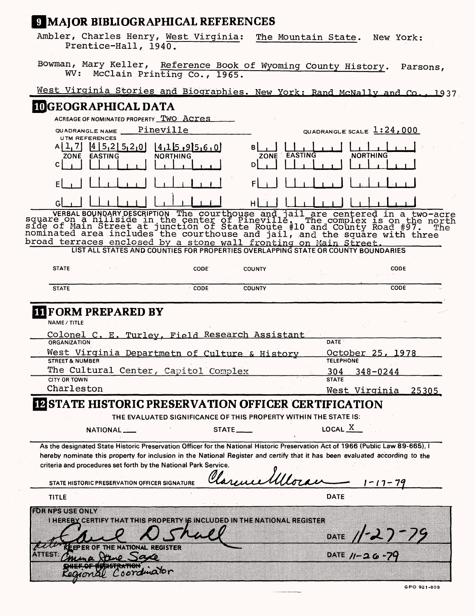# **MAJOR BIBLIOGRAPHICAL REFERENCES**

Ambler, Charles Henry, West Virginia: The Mountain State. New York: Prentice-Hall, 1940.

Bowman, Mary Keller, Reference Book of Wyoming County History. Parsons, WV: McClain Printing Co., 1965.

# West Virginia Stories and Biographies. New York: Rand McNally and Co., 1937

| IOGEOGRAPHICAL DATA                                                                                                                                                                                                                                                                                                                                                                            |                                      |
|------------------------------------------------------------------------------------------------------------------------------------------------------------------------------------------------------------------------------------------------------------------------------------------------------------------------------------------------------------------------------------------------|--------------------------------------|
| ACREAGE OF NOMINATED PROPERTY TWO ACYES                                                                                                                                                                                                                                                                                                                                                        |                                      |
| Pineville<br>QUADRANGLE NAME                                                                                                                                                                                                                                                                                                                                                                   | QUADRANGLE SCALE $1:24,000$          |
| <b>UTM REFERENCES</b><br>[4 5,2 5,2,0]<br>14,15,95,6,0<br>A I L. 71<br>В<br><b>NORTHING</b><br><b>EASTING</b><br>ZONE<br>D<br>C                                                                                                                                                                                                                                                                | EASTING<br><b>NORTHING</b><br>ZONE   |
| F                                                                                                                                                                                                                                                                                                                                                                                              |                                      |
| G                                                                                                                                                                                                                                                                                                                                                                                              |                                      |
| VERBAL BOUNDARY DESCRIPTION The courthouse and jail are centered in a two-acre<br>square on a hillside in the center of Pineville. The complex is on the north<br>side of Main Street at junction of State Route #10 and County Road<br>broad terraces enclosed by a stone wall fronting on Main Street.<br>LIST ALL STATES AND COUNTIES FOR PROPERTIES OVERLAPPING STATE OR COUNTY BOUNDARIES |                                      |
| <b>STATE</b><br>CODE.<br><b>COUNTY</b>                                                                                                                                                                                                                                                                                                                                                         | <b>CODE</b>                          |
| <b>COUNTY</b><br><b>CODE</b><br><b>STATE</b>                                                                                                                                                                                                                                                                                                                                                   | <b>CODE</b>                          |
| West Virginia Departmetn of Culture & History<br><b>STREET &amp; NUMBER</b>                                                                                                                                                                                                                                                                                                                    | October 25, 1978<br><b>TELEPHONE</b> |
| <b>ORGANIZATION</b>                                                                                                                                                                                                                                                                                                                                                                            | DATE:                                |
|                                                                                                                                                                                                                                                                                                                                                                                                |                                      |
| The Cultural Center, Capitol Complex<br><b>CITY OR TOWN</b>                                                                                                                                                                                                                                                                                                                                    | 304<br>$348 - 0244$<br><b>STATE</b>  |
| Charleston                                                                                                                                                                                                                                                                                                                                                                                     | 25305<br>West Virginia               |
| <b>IZSTATE HISTORIC PRESERVATION OFFICER CERTIFICATION</b><br>THE EVALUATED SIGNIFICANCE OF THIS PROPERTY WITHIN THE STATE IS:<br>NATIONAL<br>STATE ____                                                                                                                                                                                                                                       | LOCAL $\overline{X}$                 |
| As the designated State Historic Preservation Officer for the National Historic Preservation Act of 1966 (Public Law 89-665), I<br>hereby nominate this property for inclusion in the National Register and certify that it has been evaluated according to the<br>criteria and procedures set forth by the National Park Service.<br>STATE HISTORIC PRESERVATION OFFICER SIGNATURE            | $17 - 79$                            |
| <b>TITLE</b>                                                                                                                                                                                                                                                                                                                                                                                   | <b>DATE</b>                          |
| <b>DENISTIS TO NA</b><br>inhen en gefinemmen mit de foren mit ingebied in the national register                                                                                                                                                                                                                                                                                                | 27-79<br>DATE                        |
| THE NATIONAL REGISTER<br>an sa<br>C P 68<br><u>, martin</u>                                                                                                                                                                                                                                                                                                                                    | DATE $11 - 26 - 79$                  |
| <sub>oordma</sub> rbn                                                                                                                                                                                                                                                                                                                                                                          |                                      |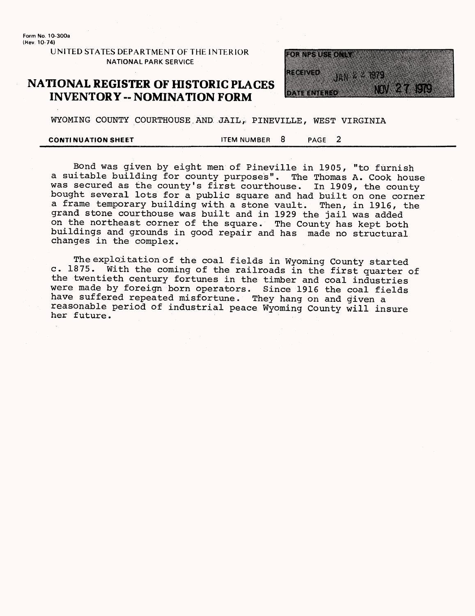**Form No. 10-300a (Hev 10-74)**

> **UNITED STATES DEPARTMENT OF THE INTERIOR NATIONAL PARK SERVICE**

## **NATIONAL REGISTER OF HISTORIC PLACES INVENTORY -- NOMINATION FORM**



WYOMING COUNTY COURTHOUSE AND JAIL, PINEVILLE, WEST VIRGINIA

**CONTINUATION SHEET** TEM NUMBER 8 PAGE 2

Bond was given by eight men of Pineville in 1905, "to furnish a suitable building for county purposes". The Thomas A. Cook house was secured as the county's first courthouse. In 1909, the county bought several lots for a public square and had built on one corner a frame temporary building with a stone vault. Then, in 1916, the grand stone courthouse was built and in 1929 the jail was added on the northeast corner of the square. The County has kept both buildings and grounds in good repair and has made no structural changes in the complex.

The exploitation of the coal fields in Wyoming County started c. 1875. With the coming of the railroads in the first quarter of the twentieth century fortunes in the timber and coal industries were made by foreign born operators. Since 1916 the coal fields have suffered repeated misfortune. They hang on and given a reasonable period of industrial peace Wyoming County will insure her future.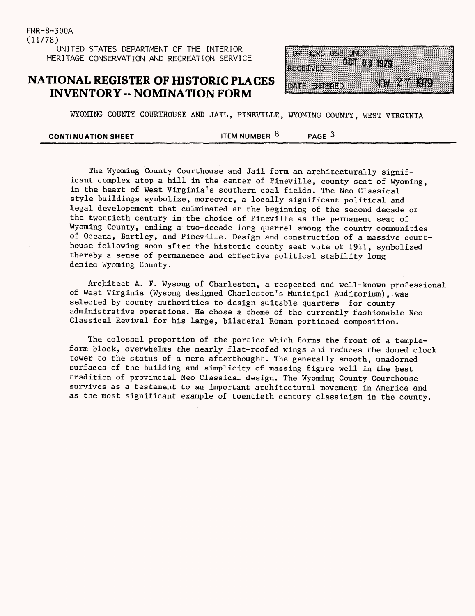FHR-8-300A (11/78) UNITED STATES DEPARTMENT OF THE INTERIOR HERITAGE CONSERVATION AND RECREATION SERVICE

# **NATIONAL REGISTER OF HISTORIC PLACES INVENTORY -- NOMINATION FORM**

FOR HORS USE ONLY **OCT 03 1974** RECEIVED NOV 27 1979 DATE ENTERED

WYOMING COUNTY COURTHOUSE AND JAIL, PINEVILLE, WYOMING COUNTY, WEST VIRGINIA

| <b>CONTINUATION SHEET</b> | ITEM NUMBER 8 | PAGE <sup>3</sup> |  |
|---------------------------|---------------|-------------------|--|
|                           |               |                   |  |

The Wyoming County Courthouse and Jail form an architecturally significant complex atop a hill in the center of Pineville, county seat of Wyoming, in the heart of West Virginia's southern coal fields. The Neo Classical style buildings symbolize, moreover, a locally significant political and legal developement that culminated at the beginning of the second decade of the twentieth century in the choice of Pineville as the permanent seat of Wyoming County, ending a two-decade long quarrel among the county communities of Oceana, Bartley, and Pineville. Design and construction of a massive courthouse following soon after the historic county seat vote of 1911, symbolized thereby a sense of permanence and effective political stability long denied Wyoming County.

Architect A. F. Wysong of Charleston, a respected and well-known professional of West Virginia (Wysong designed Charleston's Municipal Auditorium), was selected by county authorities to design suitable quarters for county administrative operations. He chose a theme of the currently fashionable Neo Classical Revival for his large, bilateral Roman porticoed composition.

The colossal proportion of the portico which forms the front of a templeform block, overwhelms the nearly flat-roofed wings and reduces the domed clock tower to the status of a mere afterthought. The generally smooth, unadorned surfaces of the building and simplicity of massing figure well in the best tradition of provincial Neo Classical design. The Wyoming County Courthouse survives as a testament to an important architectural movement in America and as the most significant example of twentieth century classicism in the county.